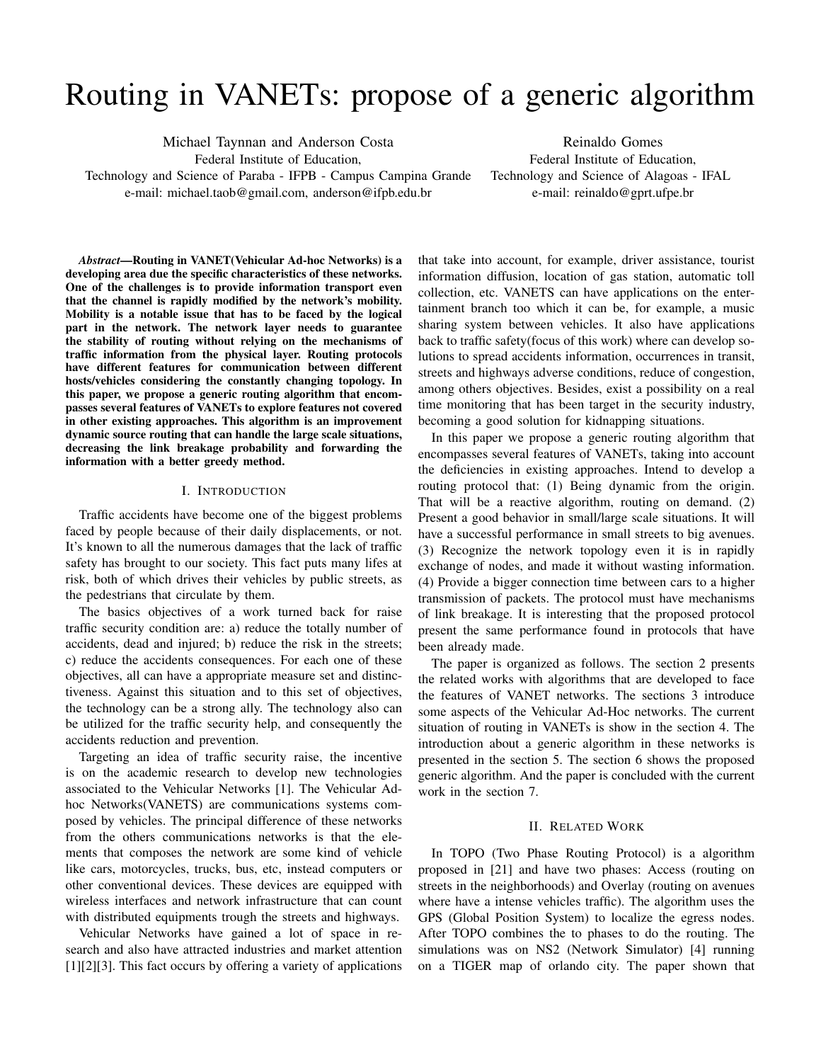# Routing in VANETs: propose of a generic algorithm

Michael Taynnan and Anderson Costa

Federal Institute of Education,

Technology and Science of Paraba - IFPB - Campus Campina Grande e-mail: michael.taob@gmail.com, anderson@ifpb.edu.br

Reinaldo Gomes Federal Institute of Education, Technology and Science of Alagoas - IFAL e-mail: reinaldo@gprt.ufpe.br

*Abstract*—Routing in VANET(Vehicular Ad-hoc Networks) is a developing area due the specific characteristics of these networks. One of the challenges is to provide information transport even that the channel is rapidly modified by the network's mobility. Mobility is a notable issue that has to be faced by the logical part in the network. The network layer needs to guarantee the stability of routing without relying on the mechanisms of traffic information from the physical layer. Routing protocols have different features for communication between different hosts/vehicles considering the constantly changing topology. In this paper, we propose a generic routing algorithm that encompasses several features of VANETs to explore features not covered in other existing approaches. This algorithm is an improvement dynamic source routing that can handle the large scale situations, decreasing the link breakage probability and forwarding the information with a better greedy method.

#### I. INTRODUCTION

Traffic accidents have become one of the biggest problems faced by people because of their daily displacements, or not. It's known to all the numerous damages that the lack of traffic safety has brought to our society. This fact puts many lifes at risk, both of which drives their vehicles by public streets, as the pedestrians that circulate by them.

The basics objectives of a work turned back for raise traffic security condition are: a) reduce the totally number of accidents, dead and injured; b) reduce the risk in the streets; c) reduce the accidents consequences. For each one of these objectives, all can have a appropriate measure set and distinctiveness. Against this situation and to this set of objectives, the technology can be a strong ally. The technology also can be utilized for the traffic security help, and consequently the accidents reduction and prevention.

Targeting an idea of traffic security raise, the incentive is on the academic research to develop new technologies associated to the Vehicular Networks [1]. The Vehicular Adhoc Networks(VANETS) are communications systems composed by vehicles. The principal difference of these networks from the others communications networks is that the elements that composes the network are some kind of vehicle like cars, motorcycles, trucks, bus, etc, instead computers or other conventional devices. These devices are equipped with wireless interfaces and network infrastructure that can count with distributed equipments trough the streets and highways.

Vehicular Networks have gained a lot of space in research and also have attracted industries and market attention [1][2][3]. This fact occurs by offering a variety of applications that take into account, for example, driver assistance, tourist information diffusion, location of gas station, automatic toll collection, etc. VANETS can have applications on the entertainment branch too which it can be, for example, a music sharing system between vehicles. It also have applications back to traffic safety(focus of this work) where can develop solutions to spread accidents information, occurrences in transit, streets and highways adverse conditions, reduce of congestion, among others objectives. Besides, exist a possibility on a real time monitoring that has been target in the security industry, becoming a good solution for kidnapping situations.

In this paper we propose a generic routing algorithm that encompasses several features of VANETs, taking into account the deficiencies in existing approaches. Intend to develop a routing protocol that: (1) Being dynamic from the origin. That will be a reactive algorithm, routing on demand. (2) Present a good behavior in small/large scale situations. It will have a successful performance in small streets to big avenues. (3) Recognize the network topology even it is in rapidly exchange of nodes, and made it without wasting information. (4) Provide a bigger connection time between cars to a higher transmission of packets. The protocol must have mechanisms of link breakage. It is interesting that the proposed protocol present the same performance found in protocols that have been already made.

The paper is organized as follows. The section 2 presents the related works with algorithms that are developed to face the features of VANET networks. The sections 3 introduce some aspects of the Vehicular Ad-Hoc networks. The current situation of routing in VANETs is show in the section 4. The introduction about a generic algorithm in these networks is presented in the section 5. The section 6 shows the proposed generic algorithm. And the paper is concluded with the current work in the section 7.

### II. RELATED WORK

In TOPO (Two Phase Routing Protocol) is a algorithm proposed in [21] and have two phases: Access (routing on streets in the neighborhoods) and Overlay (routing on avenues where have a intense vehicles traffic). The algorithm uses the GPS (Global Position System) to localize the egress nodes. After TOPO combines the to phases to do the routing. The simulations was on NS2 (Network Simulator) [4] running on a TIGER map of orlando city. The paper shown that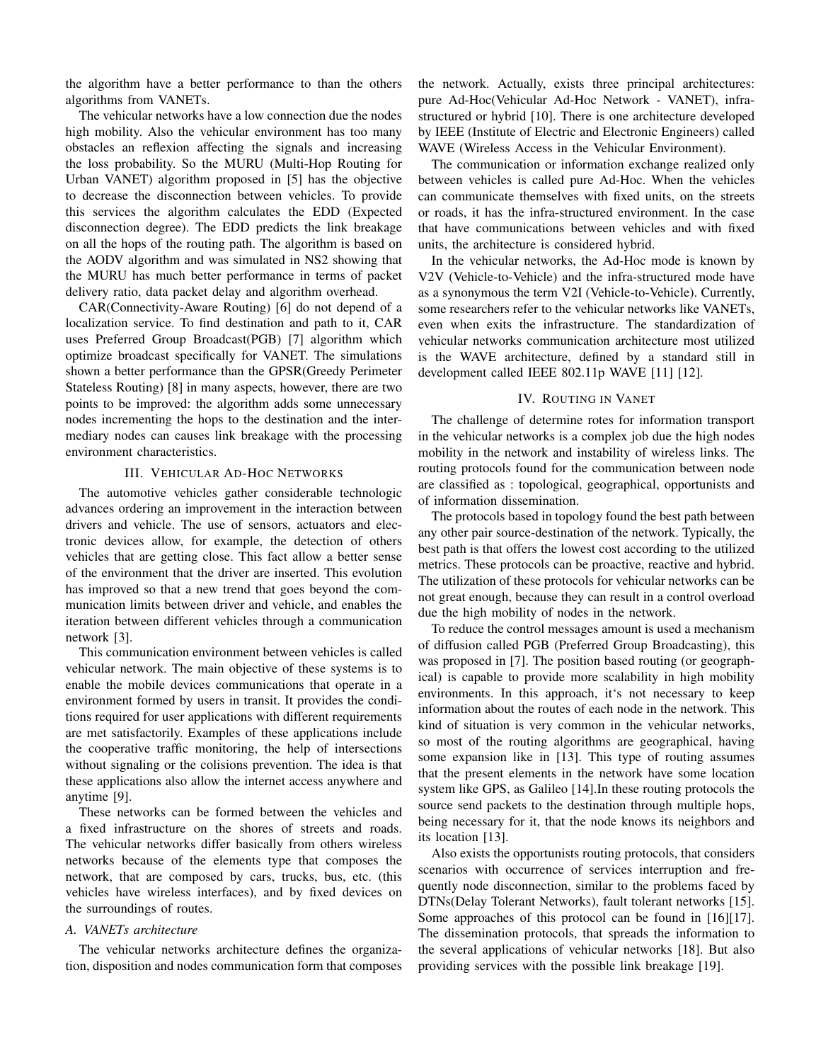the algorithm have a better performance to than the others algorithms from VANETs.

The vehicular networks have a low connection due the nodes high mobility. Also the vehicular environment has too many obstacles an reflexion affecting the signals and increasing the loss probability. So the MURU (Multi-Hop Routing for Urban VANET) algorithm proposed in [5] has the objective to decrease the disconnection between vehicles. To provide this services the algorithm calculates the EDD (Expected disconnection degree). The EDD predicts the link breakage on all the hops of the routing path. The algorithm is based on the AODV algorithm and was simulated in NS2 showing that the MURU has much better performance in terms of packet delivery ratio, data packet delay and algorithm overhead.

CAR(Connectivity-Aware Routing) [6] do not depend of a localization service. To find destination and path to it, CAR uses Preferred Group Broadcast(PGB) [7] algorithm which optimize broadcast specifically for VANET. The simulations shown a better performance than the GPSR(Greedy Perimeter Stateless Routing) [8] in many aspects, however, there are two points to be improved: the algorithm adds some unnecessary nodes incrementing the hops to the destination and the intermediary nodes can causes link breakage with the processing environment characteristics.

#### III. VEHICULAR AD-HOC NETWORKS

The automotive vehicles gather considerable technologic advances ordering an improvement in the interaction between drivers and vehicle. The use of sensors, actuators and electronic devices allow, for example, the detection of others vehicles that are getting close. This fact allow a better sense of the environment that the driver are inserted. This evolution has improved so that a new trend that goes beyond the communication limits between driver and vehicle, and enables the iteration between different vehicles through a communication network [3].

This communication environment between vehicles is called vehicular network. The main objective of these systems is to enable the mobile devices communications that operate in a environment formed by users in transit. It provides the conditions required for user applications with different requirements are met satisfactorily. Examples of these applications include the cooperative traffic monitoring, the help of intersections without signaling or the colisions prevention. The idea is that these applications also allow the internet access anywhere and anytime [9].

These networks can be formed between the vehicles and a fixed infrastructure on the shores of streets and roads. The vehicular networks differ basically from others wireless networks because of the elements type that composes the network, that are composed by cars, trucks, bus, etc. (this vehicles have wireless interfaces), and by fixed devices on the surroundings of routes.

## *A. VANETs architecture*

The vehicular networks architecture defines the organization, disposition and nodes communication form that composes the network. Actually, exists three principal architectures: pure Ad-Hoc(Vehicular Ad-Hoc Network - VANET), infrastructured or hybrid [10]. There is one architecture developed by IEEE (Institute of Electric and Electronic Engineers) called WAVE (Wireless Access in the Vehicular Environment).

The communication or information exchange realized only between vehicles is called pure Ad-Hoc. When the vehicles can communicate themselves with fixed units, on the streets or roads, it has the infra-structured environment. In the case that have communications between vehicles and with fixed units, the architecture is considered hybrid.

In the vehicular networks, the Ad-Hoc mode is known by V2V (Vehicle-to-Vehicle) and the infra-structured mode have as a synonymous the term V2I (Vehicle-to-Vehicle). Currently, some researchers refer to the vehicular networks like VANETs, even when exits the infrastructure. The standardization of vehicular networks communication architecture most utilized is the WAVE architecture, defined by a standard still in development called IEEE 802.11p WAVE [11] [12].

## IV. ROUTING IN VANET

The challenge of determine rotes for information transport in the vehicular networks is a complex job due the high nodes mobility in the network and instability of wireless links. The routing protocols found for the communication between node are classified as : topological, geographical, opportunists and of information dissemination.

The protocols based in topology found the best path between any other pair source-destination of the network. Typically, the best path is that offers the lowest cost according to the utilized metrics. These protocols can be proactive, reactive and hybrid. The utilization of these protocols for vehicular networks can be not great enough, because they can result in a control overload due the high mobility of nodes in the network.

To reduce the control messages amount is used a mechanism of diffusion called PGB (Preferred Group Broadcasting), this was proposed in [7]. The position based routing (or geographical) is capable to provide more scalability in high mobility environments. In this approach, it's not necessary to keep information about the routes of each node in the network. This kind of situation is very common in the vehicular networks, so most of the routing algorithms are geographical, having some expansion like in [13]. This type of routing assumes that the present elements in the network have some location system like GPS, as Galileo [14].In these routing protocols the source send packets to the destination through multiple hops, being necessary for it, that the node knows its neighbors and its location [13].

Also exists the opportunists routing protocols, that considers scenarios with occurrence of services interruption and frequently node disconnection, similar to the problems faced by DTNs(Delay Tolerant Networks), fault tolerant networks [15]. Some approaches of this protocol can be found in [16][17]. The dissemination protocols, that spreads the information to the several applications of vehicular networks [18]. But also providing services with the possible link breakage [19].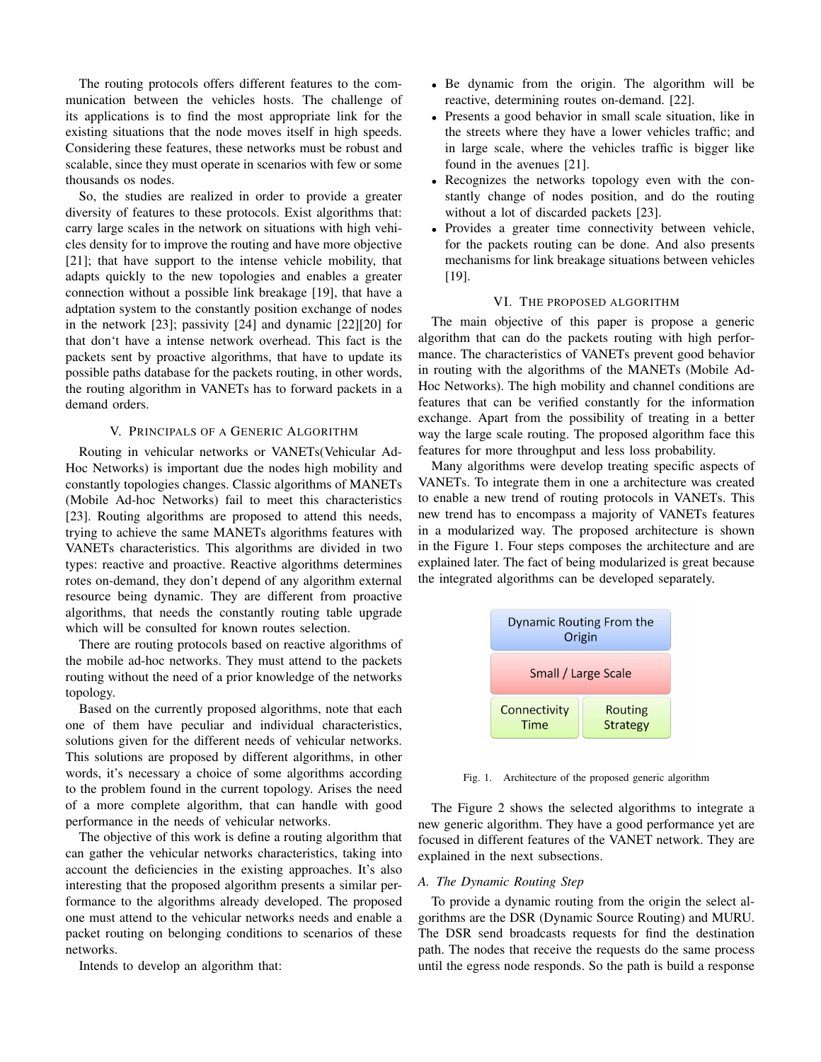The routing protocols offers different features to the communication between the vehicles hosts. The challenge of its applications is to find the most appropriate link for the existing situations that the node moves itself in high speeds. Considering these features, these networks must be robust and scalable, since they must operate in scenarios with few or some thousands os nodes.

So, the studies are realized in order to provide a greater diversity of features to these protocols. Exist algorithms that: carry large scales in the network on situations with high vehicles density for to improve the routing and have more objective [21]; that have support to the intense vehicle mobility, that adapts quickly to the new topologies and enables a greater connection without a possible link breakage [19], that have a adptation system to the constantly position exchange of nodes in the network [23]; passivity [24] and dynamic [22][20] for that don't have a intense network overhead. This fact is the packets sent by proactive algorithms, that have to update its possible paths database for the packets routing, in other words, the routing algorithm in VANETs has to forward packets in a demand orders.

#### V. PRINCIPALS OF A GENERIC ALGORITHM

Routing in vehicular networks or VANETs(Vehicular Ad-Hoc Networks) is important due the nodes high mobility and constantly topologies changes. Classic algorithms of MANETs (Mobile Ad-hoc Networks) fail to meet this characteristics [23]. Routing algorithms are proposed to attend this needs, trying to achieve the same MANETs algorithms features with VANETs characteristics. This algorithms are divided in two types: reactive and proactive. Reactive algorithms determines rotes on-demand, they don't depend of any algorithm external resource being dynamic. They are different from proactive algorithms, that needs the constantly routing table upgrade which will be consulted for known routes selection.

There are routing protocols based on reactive algorithms of the mobile ad-hoc networks. They must attend to the packets routing without the need of a prior knowledge of the networks topology.

Based on the currently proposed algorithms, note that each one of them have peculiar and individual characteristics, solutions given for the different needs of vehicular networks. This solutions are proposed by different algorithms, in other words, it's necessary a choice of some algorithms according to the problem found in the current topology. Arises the need of a more complete algorithm, that can handle with good performance in the needs of vehicular networks.

The objective of this work is define a routing algorithm that can gather the vehicular networks characteristics, taking into account the deficiencies in the existing approaches. It's also interesting that the proposed algorithm presents a similar performance to the algorithms already developed. The proposed one must attend to the vehicular networks needs and enable a packet routing on belonging conditions to scenarios of these networks.

Intends to develop an algorithm that:

- Be dynamic from the origin. The algorithm will be reactive, determining routes on-demand. [22].
- Presents a good behavior in small scale situation, like in the streets where they have a lower vehicles traffic; and in large scale, where the vehicles traffic is bigger like found in the avenues [21].
- Recognizes the networks topology even with the constantly change of nodes position, and do the routing without a lot of discarded packets [23].
- Provides a greater time connectivity between vehicle, for the packets routing can be done. And also presents mechanisms for link breakage situations between vehicles [19].

## VI. THE PROPOSED ALGORITHM

The main objective of this paper is propose a generic algorithm that can do the packets routing with high performance. The characteristics of VANETs prevent good behavior in routing with the algorithms of the MANETs (Mobile Ad-Hoc Networks). The high mobility and channel conditions are features that can be verified constantly for the information exchange. Apart from the possibility of treating in a better way the large scale routing. The proposed algorithm face this features for more throughput and less loss probability.

Many algorithms were develop treating specific aspects of VANETs. To integrate them in one a architecture was created to enable a new trend of routing protocols in VANETs. This new trend has to encompass a majority of VANETs features in a modularized way. The proposed architecture is shown in the Figure 1. Four steps composes the architecture and are explained later. The fact of being modularized is great because the integrated algorithms can be developed separately.



Fig. 1. Architecture of the proposed generic algorithm

The Figure 2 shows the selected algorithms to integrate a new generic algorithm. They have a good performance yet are focused in different features of the VANET network. They are explained in the next subsections.

## *A. The Dynamic Routing Step*

To provide a dynamic routing from the origin the select algorithms are the DSR (Dynamic Source Routing) and MURU. The DSR send broadcasts requests for find the destination path. The nodes that receive the requests do the same process until the egress node responds. So the path is build a response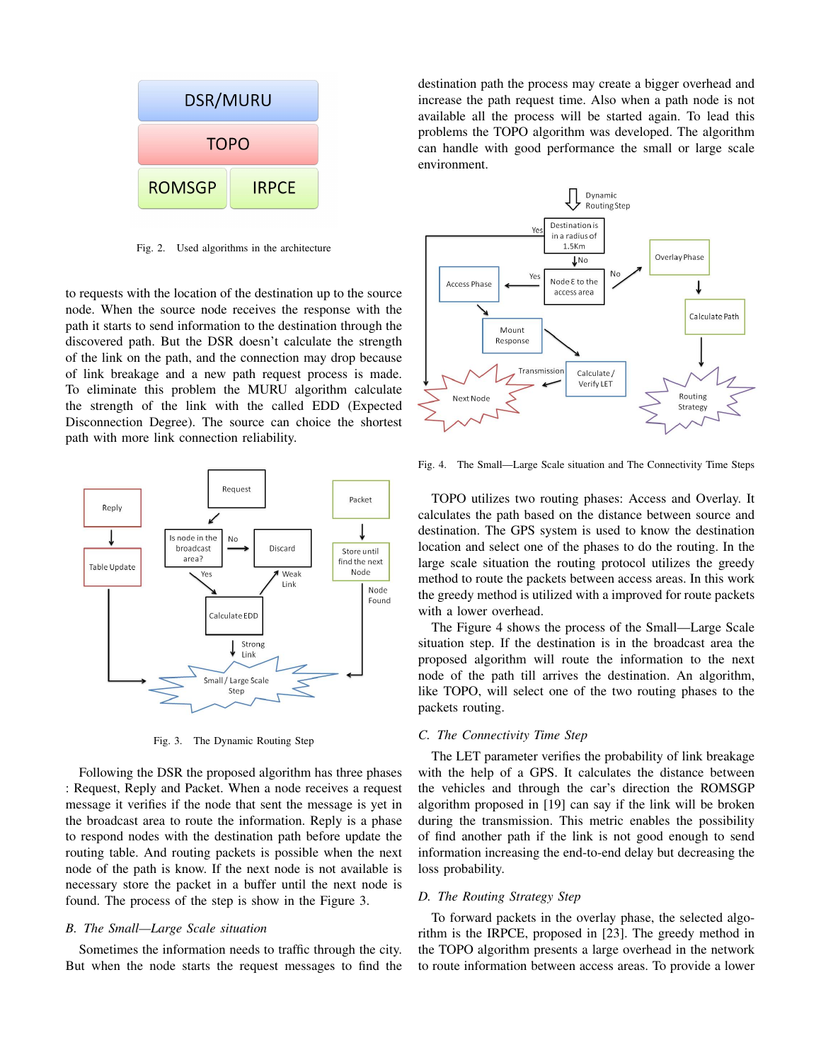

Fig. 2. Used algorithms in the architecture

to requests with the location of the destination up to the source node. When the source node receives the response with the path it starts to send information to the destination through the discovered path. But the DSR doesn't calculate the strength of the link on the path, and the connection may drop because of link breakage and a new path request process is made. To eliminate this problem the MURU algorithm calculate the strength of the link with the called EDD (Expected Disconnection Degree). The source can choice the shortest path with more link connection reliability.



Fig. 3. The Dynamic Routing Step

Following the DSR the proposed algorithm has three phases : Request, Reply and Packet. When a node receives a request message it verifies if the node that sent the message is yet in the broadcast area to route the information. Reply is a phase to respond nodes with the destination path before update the routing table. And routing packets is possible when the next node of the path is know. If the next node is not available is necessary store the packet in a buffer until the next node is found. The process of the step is show in the Figure 3.

## *B. The Small—Large Scale situation*

Sometimes the information needs to traffic through the city. But when the node starts the request messages to find the destination path the process may create a bigger overhead and increase the path request time. Also when a path node is not available all the process will be started again. To lead this problems the TOPO algorithm was developed. The algorithm can handle with good performance the small or large scale environment.



Fig. 4. The Small—Large Scale situation and The Connectivity Time Steps

TOPO utilizes two routing phases: Access and Overlay. It calculates the path based on the distance between source and destination. The GPS system is used to know the destination location and select one of the phases to do the routing. In the large scale situation the routing protocol utilizes the greedy method to route the packets between access areas. In this work the greedy method is utilized with a improved for route packets with a lower overhead.

The Figure 4 shows the process of the Small—Large Scale situation step. If the destination is in the broadcast area the proposed algorithm will route the information to the next node of the path till arrives the destination. An algorithm, like TOPO, will select one of the two routing phases to the packets routing.

#### *C. The Connectivity Time Step*

The LET parameter verifies the probability of link breakage with the help of a GPS. It calculates the distance between the vehicles and through the car's direction the ROMSGP algorithm proposed in [19] can say if the link will be broken during the transmission. This metric enables the possibility of find another path if the link is not good enough to send information increasing the end-to-end delay but decreasing the loss probability.

## *D. The Routing Strategy Step*

To forward packets in the overlay phase, the selected algorithm is the IRPCE, proposed in [23]. The greedy method in the TOPO algorithm presents a large overhead in the network to route information between access areas. To provide a lower